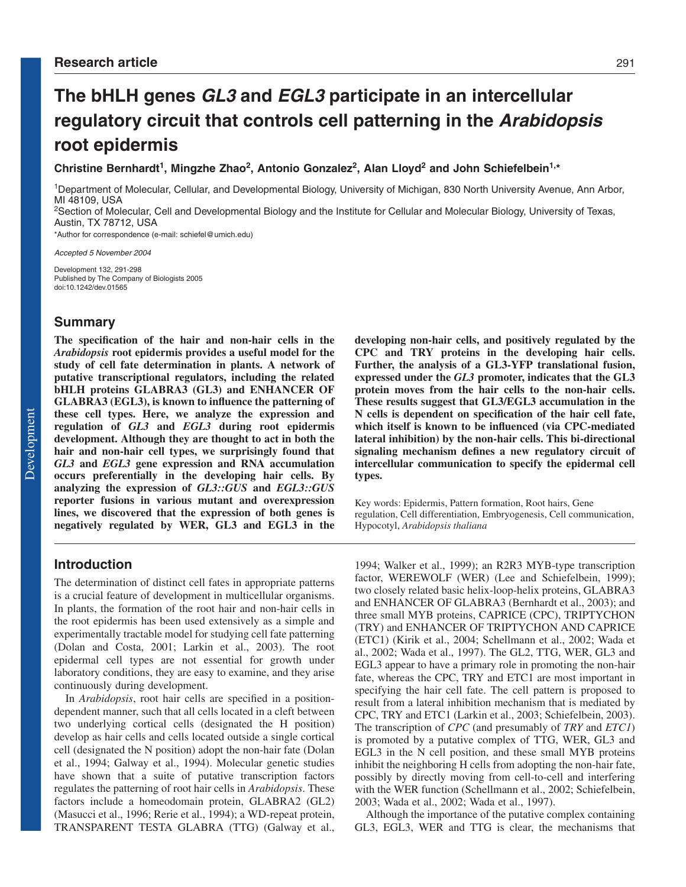# **The bHLH genes GL3 and EGL3 participate in an intercellular regulatory circuit that controls cell patterning in the Arabidopsis root epidermis**

# Christine Bernhardt<sup>1</sup>, Mingzhe Zhao<sup>2</sup>, Antonio Gonzalez<sup>2</sup>, Alan Lloyd<sup>2</sup> and John Schiefelbein<sup>1,\*</sup>

1Department of Molecular, Cellular, and Developmental Biology, University of Michigan, 830 North University Avenue, Ann Arbor, MI 48109, USA

<sup>2</sup>Section of Molecular, Cell and Developmental Biology and the Institute for Cellular and Molecular Biology, University of Texas, Austin, TX 78712, USA

\*Author for correspondence (e-mail: schiefel@umich.edu)

Accepted 5 November 2004

Development 132, 291-298 Published by The Company of Biologists 2005 doi:10.1242/dev.01565

## **Summary**

**The specification of the hair and non-hair cells in the** *Arabidopsis* **root epidermis provides a useful model for the study of cell fate determination in plants. A network of putative transcriptional regulators, including the related bHLH proteins GLABRA3 (GL3) and ENHANCER OF GLABRA3 (EGL3), is known to influence the patterning of these cell types. Here, we analyze the expression and regulation of** *GL3* **and** *EGL3* **during root epidermis development. Although they are thought to act in both the hair and non-hair cell types, we surprisingly found that** *GL3* **and** *EGL3* **gene expression and RNA accumulation occurs preferentially in the developing hair cells. By analyzing the expression of** *GL3::GUS* **and** *EGL3::GUS* **reporter fusions in various mutant and overexpression lines, we discovered that the expression of both genes is negatively regulated by WER, GL3 and EGL3 in the**

**developing non-hair cells, and positively regulated by the CPC and TRY proteins in the developing hair cells. Further, the analysis of a GL3-YFP translational fusion, expressed under the** *GL3* **promoter, indicates that the GL3 protein moves from the hair cells to the non-hair cells. These results suggest that GL3/EGL3 accumulation in the N cells is dependent on specification of the hair cell fate, which itself is known to be influenced (via CPC-mediated lateral inhibition) by the non-hair cells. This bi-directional signaling mechanism defines a new regulatory circuit of intercellular communication to specify the epidermal cell types.**

Key words: Epidermis, Pattern formation, Root hairs, Gene regulation, Cell differentiation, Embryogenesis, Cell communication, Hypocotyl, *Arabidopsis thaliana*

# **Introduction**

The determination of distinct cell fates in appropriate patterns is a crucial feature of development in multicellular organisms. In plants, the formation of the root hair and non-hair cells in the root epidermis has been used extensively as a simple and experimentally tractable model for studying cell fate patterning (Dolan and Costa, 2001; Larkin et al., 2003). The root epidermal cell types are not essential for growth under laboratory conditions, they are easy to examine, and they arise continuously during development.

In *Arabidopsis*, root hair cells are specified in a positiondependent manner, such that all cells located in a cleft between two underlying cortical cells (designated the H position) develop as hair cells and cells located outside a single cortical cell (designated the N position) adopt the non-hair fate (Dolan et al., 1994; Galway et al., 1994). Molecular genetic studies have shown that a suite of putative transcription factors regulates the patterning of root hair cells in *Arabidopsis*. These factors include a homeodomain protein, GLABRA2 (GL2) (Masucci et al., 1996; Rerie et al., 1994); a WD-repeat protein, TRANSPARENT TESTA GLABRA (TTG) (Galway et al., 1994; Walker et al., 1999); an R2R3 MYB-type transcription factor, WEREWOLF (WER) (Lee and Schiefelbein, 1999); two closely related basic helix-loop-helix proteins, GLABRA3 and ENHANCER OF GLABRA3 (Bernhardt et al., 2003); and three small MYB proteins, CAPRICE (CPC), TRIPTYCHON (TRY) and ENHANCER OF TRIPTYCHON AND CAPRICE (ETC1) (Kirik et al., 2004; Schellmann et al., 2002; Wada et al., 2002; Wada et al., 1997). The GL2, TTG, WER, GL3 and EGL3 appear to have a primary role in promoting the non-hair fate, whereas the CPC, TRY and ETC1 are most important in specifying the hair cell fate. The cell pattern is proposed to result from a lateral inhibition mechanism that is mediated by CPC, TRY and ETC1 (Larkin et al., 2003; Schiefelbein, 2003). The transcription of *CPC* (and presumably of *TRY* and *ETC1*) is promoted by a putative complex of TTG, WER, GL3 and EGL3 in the N cell position, and these small MYB proteins inhibit the neighboring H cells from adopting the non-hair fate, possibly by directly moving from cell-to-cell and interfering with the WER function (Schellmann et al., 2002; Schiefelbein, 2003; Wada et al., 2002; Wada et al., 1997).

Although the importance of the putative complex containing GL3, EGL3, WER and TTG is clear, the mechanisms that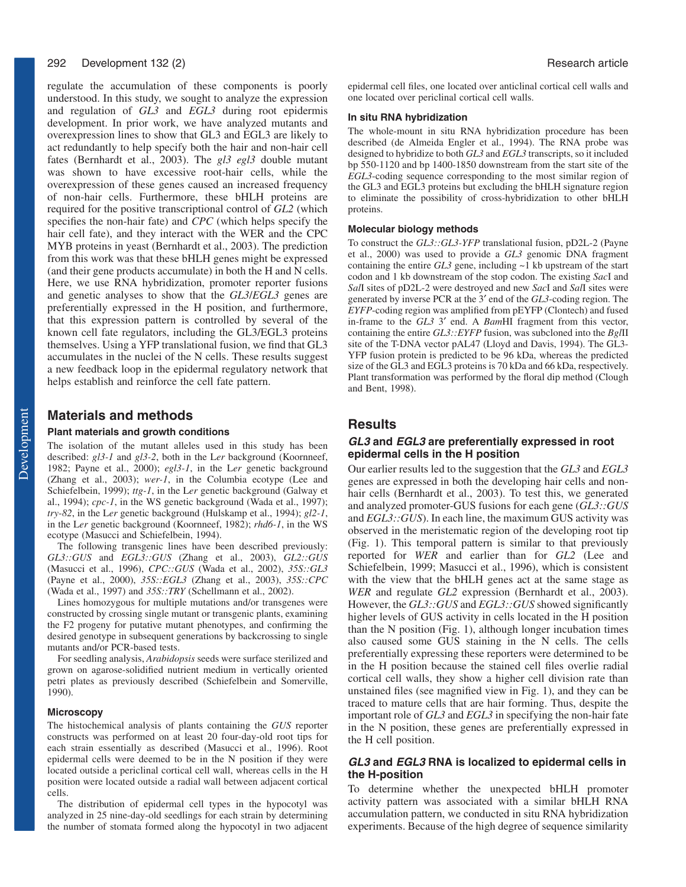#### 292 Development 132 (2) **Research article Development 132 (2)** Research article

regulate the accumulation of these components is poorly understood. In this study, we sought to analyze the expression and regulation of *GL3* and *EGL3* during root epidermis development. In prior work, we have analyzed mutants and overexpression lines to show that GL3 and EGL3 are likely to act redundantly to help specify both the hair and non-hair cell fates (Bernhardt et al., 2003). The *gl3 egl3* double mutant was shown to have excessive root-hair cells, while the overexpression of these genes caused an increased frequency of non-hair cells. Furthermore, these bHLH proteins are required for the positive transcriptional control of *GL2* (which specifies the non-hair fate) and *CPC* (which helps specify the hair cell fate), and they interact with the WER and the CPC MYB proteins in yeast (Bernhardt et al., 2003). The prediction from this work was that these bHLH genes might be expressed (and their gene products accumulate) in both the H and N cells. Here, we use RNA hybridization, promoter reporter fusions and genetic analyses to show that the *GL3*/*EGL3* genes are preferentially expressed in the H position, and furthermore, that this expression pattern is controlled by several of the known cell fate regulators, including the GL3/EGL3 proteins themselves. Using a YFP translational fusion, we find that GL3 accumulates in the nuclei of the N cells. These results suggest a new feedback loop in the epidermal regulatory network that helps establish and reinforce the cell fate pattern.

### **Materials and methods**

#### **Plant materials and growth conditions**

The isolation of the mutant alleles used in this study has been described: *gl3-1* and *gl3-2*, both in the L*er* background (Koornneef, 1982; Payne et al., 2000); *egl3-1*, in the L*er* genetic background (Zhang et al., 2003); *wer-1*, in the Columbia ecotype (Lee and Schiefelbein, 1999); *ttg-1*, in the L*er* genetic background (Galway et al., 1994); *cpc-1*, in the WS genetic background (Wada et al., 1997); *try-82*, in the L*er* genetic background (Hulskamp et al., 1994); *gl2-1*, in the L*er* genetic background (Koornneef, 1982); *rhd6-1*, in the WS ecotype (Masucci and Schiefelbein, 1994).

The following transgenic lines have been described previously: *GL3::GUS* and *EGL3::GUS* (Zhang et al., 2003), *GL2::GUS* (Masucci et al., 1996), *CPC::GUS* (Wada et al., 2002), *35S::GL3* (Payne et al., 2000), *35S::EGL3* (Zhang et al., 2003), *35S::CPC* (Wada et al., 1997) and *35S::TRY* (Schellmann et al., 2002).

Lines homozygous for multiple mutations and/or transgenes were constructed by crossing single mutant or transgenic plants, examining the F2 progeny for putative mutant phenotypes, and confirming the desired genotype in subsequent generations by backcrossing to single mutants and/or PCR-based tests.

For seedling analysis, *Arabidopsis* seeds were surface sterilized and grown on agarose-solidified nutrient medium in vertically oriented petri plates as previously described (Schiefelbein and Somerville, 1990).

#### **Microscopy**

The histochemical analysis of plants containing the *GUS* reporter constructs was performed on at least 20 four-day-old root tips for each strain essentially as described (Masucci et al., 1996). Root epidermal cells were deemed to be in the N position if they were located outside a periclinal cortical cell wall, whereas cells in the H position were located outside a radial wall between adjacent cortical cells.

The distribution of epidermal cell types in the hypocotyl was analyzed in 25 nine-day-old seedlings for each strain by determining the number of stomata formed along the hypocotyl in two adjacent

epidermal cell files, one located over anticlinal cortical cell walls and one located over periclinal cortical cell walls.

#### **In situ RNA hybridization**

The whole-mount in situ RNA hybridization procedure has been described (de Almeida Engler et al., 1994). The RNA probe was designed to hybridize to both *GL3* and *EGL3* transcripts, so it included bp 550-1120 and bp 1400-1850 downstream from the start site of the *EGL3*-coding sequence corresponding to the most similar region of the GL3 and EGL3 proteins but excluding the bHLH signature region to eliminate the possibility of cross-hybridization to other bHLH proteins.

#### **Molecular biology methods**

To construct the *GL3::GL3-YFP* translational fusion, pD2L-2 (Payne et al., 2000) was used to provide a *GL3* genomic DNA fragment containing the entire *GL3* gene, including ~1 kb upstream of the start codon and 1 kb downstream of the stop codon. The existing *Sac*I and *Sal*I sites of pD2L-2 were destroyed and new *Sac*I and *Sal*I sites were generated by inverse PCR at the 3′ end of the *GL3*-coding region. The *EYFP*-coding region was amplified from pEYFP (Clontech) and fused in-frame to the *GL3* 3′ end. A *Bam*HI fragment from this vector, containing the entire *GL3::EYFP* fusion, was subcloned into the *Bgl*II site of the T-DNA vector pAL47 (Lloyd and Davis, 1994). The GL3- YFP fusion protein is predicted to be 96 kDa, whereas the predicted size of the GL3 and EGL3 proteins is 70 kDa and 66 kDa, respectively. Plant transformation was performed by the floral dip method (Clough and Bent, 1998).

### **Results**

#### **GL3 and EGL3 are preferentially expressed in root epidermal cells in the H position**

Our earlier results led to the suggestion that the *GL3* and *EGL3* genes are expressed in both the developing hair cells and nonhair cells (Bernhardt et al., 2003). To test this, we generated and analyzed promoter-GUS fusions for each gene (*GL3::GUS* and *EGL3::GUS*). In each line, the maximum GUS activity was observed in the meristematic region of the developing root tip (Fig. 1). This temporal pattern is similar to that previously reported for *WER* and earlier than for *GL2* (Lee and Schiefelbein, 1999; Masucci et al., 1996), which is consistent with the view that the bHLH genes act at the same stage as *WER* and regulate *GL2* expression (Bernhardt et al., 2003). However, the *GL3::GUS* and *EGL3::GUS* showed significantly higher levels of GUS activity in cells located in the H position than the N position (Fig. 1), although longer incubation times also caused some GUS staining in the N cells. The cells preferentially expressing these reporters were determined to be in the H position because the stained cell files overlie radial cortical cell walls, they show a higher cell division rate than unstained files (see magnified view in Fig. 1), and they can be traced to mature cells that are hair forming. Thus, despite the important role of *GL3* and *EGL3* in specifying the non-hair fate in the N position, these genes are preferentially expressed in the H cell position.

#### **GL3 and EGL3 RNA is localized to epidermal cells in the H-position**

To determine whether the unexpected bHLH promoter activity pattern was associated with a similar bHLH RNA accumulation pattern, we conducted in situ RNA hybridization experiments. Because of the high degree of sequence similarity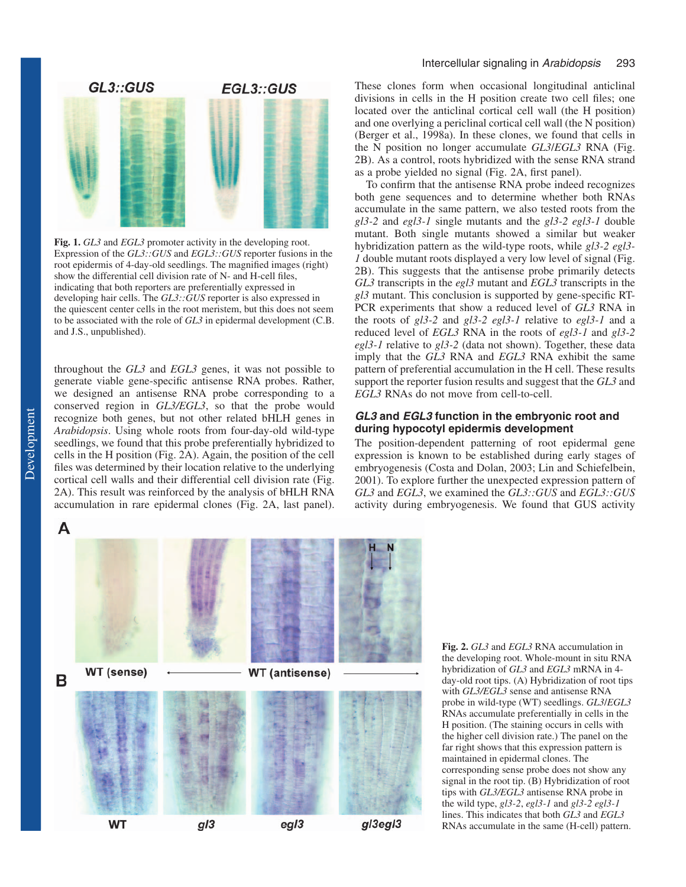

**Fig. 1.** *GL3* and *EGL3* promoter activity in the developing root. Expression of the *GL3::GUS* and *EGL3::GUS* reporter fusions in the root epidermis of 4-day-old seedlings. The magnified images (right) show the differential cell division rate of N- and H-cell files, indicating that both reporters are preferentially expressed in developing hair cells. The *GL3::GUS* reporter is also expressed in the quiescent center cells in the root meristem, but this does not seem to be associated with the role of *GL3* in epidermal development (C.B. and J.S., unpublished).

throughout the *GL3* and *EGL3* genes, it was not possible to generate viable gene-specific antisense RNA probes. Rather, we designed an antisense RNA probe corresponding to a conserved region in *GL3/EGL3*, so that the probe would recognize both genes, but not other related bHLH genes in *Arabidopsis*. Using whole roots from four-day-old wild-type seedlings, we found that this probe preferentially hybridized to cells in the H position (Fig. 2A). Again, the position of the cell files was determined by their location relative to the underlying cortical cell walls and their differential cell division rate (Fig. 2A). This result was reinforced by the analysis of bHLH RNA accumulation in rare epidermal clones (Fig. 2A, last panel).

#### Intercellular signaling in Arabidopsis 293

These clones form when occasional longitudinal anticlinal divisions in cells in the H position create two cell files; one located over the anticlinal cortical cell wall (the H position) and one overlying a periclinal cortical cell wall (the N position) (Berger et al., 1998a). In these clones, we found that cells in the N position no longer accumulate *GL3*/*EGL3* RNA (Fig. 2B). As a control, roots hybridized with the sense RNA strand as a probe yielded no signal (Fig. 2A, first panel).

To confirm that the antisense RNA probe indeed recognizes both gene sequences and to determine whether both RNAs accumulate in the same pattern, we also tested roots from the *gl3-2* and *egl3-1* single mutants and the *gl3-2 egl3-1* double mutant. Both single mutants showed a similar but weaker hybridization pattern as the wild-type roots, while *gl3-2 egl3- 1* double mutant roots displayed a very low level of signal (Fig. 2B). This suggests that the antisense probe primarily detects *GL3* transcripts in the *egl3* mutant and *EGL3* transcripts in the *gl3* mutant. This conclusion is supported by gene-specific RT-PCR experiments that show a reduced level of *GL3* RNA in the roots of *gl3-2* and *gl3-2 egl3-1* relative to *egl3-1* and a reduced level of *EGL3* RNA in the roots of *egl3-1* and *gl3-2 egl3-1* relative to *gl3-2* (data not shown). Together, these data imply that the *GL3* RNA and *EGL3* RNA exhibit the same pattern of preferential accumulation in the H cell. These results support the reporter fusion results and suggest that the *GL3* and *EGL3* RNAs do not move from cell-to-cell.

#### *GL3 and EGL3 function in the embryonic root and during hypocotyl epidermis development*

The position-dependent patterning of root epidermal gene expression is known to be established during early stages of embryogenesis (Costa and Dolan, 2003; Lin and Schiefelbein, 2001). To explore further the unexpected expression pattern of *GL3* and *EGL3*, we examined the *GL3::GUS* and *EGL3::GUS* activity during embryogenesis. We found that GUS activity



**Fig. 2.** *GL3* and *EGL3* RNA accumulation in the developing root. Whole-mount in situ RNA hybridization of *GL3* and *EGL3* mRNA in 4 day-old root tips. (A) Hybridization of root tips with *GL3/EGL3* sense and antisense RNA probe in wild-type (WT) seedlings. *GL3*/*EGL3* RNAs accumulate preferentially in cells in the H position. (The staining occurs in cells with the higher cell division rate.) The panel on the far right shows that this expression pattern is maintained in epidermal clones. The corresponding sense probe does not show any signal in the root tip. (B) Hybridization of root tips with *GL3/EGL3* antisense RNA probe in the wild type, *gl3-2*, *egl3-1* and *gl3-2 egl3-1* lines. This indicates that both *GL3* and *EGL3* RNAs accumulate in the same (H-cell) pattern.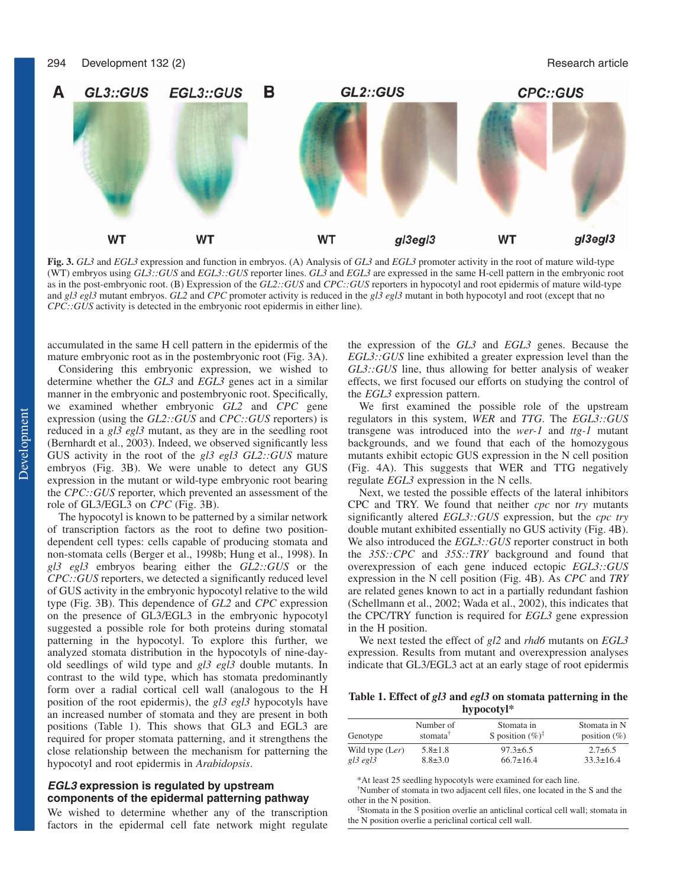

**Fig. 3.** *GL3* and *EGL3* expression and function in embryos. (A) Analysis of *GL3* and *EGL3* promoter activity in the root of mature wild-type (WT) embryos using *GL3::GUS* and *EGL3::GUS* reporter lines. *GL3* and *EGL3* are expressed in the same H-cell pattern in the embryonic root as in the post-embryonic root. (B) Expression of the *GL2::GUS* and *CPC::GUS* reporters in hypocotyl and root epidermis of mature wild-type and *gl3 egl3* mutant embryos. *GL2* and *CPC* promoter activity is reduced in the *gl3 egl3* mutant in both hypocotyl and root (except that no *CPC::GUS* activity is detected in the embryonic root epidermis in either line).

accumulated in the same H cell pattern in the epidermis of the mature embryonic root as in the postembryonic root (Fig. 3A).

Considering this embryonic expression, we wished to determine whether the *GL3* and *EGL3* genes act in a similar manner in the embryonic and postembryonic root. Specifically, we examined whether embryonic *GL2* and *CPC* gene expression (using the *GL2::GUS* and *CPC::GUS* reporters) is reduced in a *gl3 egl3* mutant, as they are in the seedling root (Bernhardt et al., 2003). Indeed, we observed significantly less GUS activity in the root of the *gl3 egl3 GL2::GUS* mature embryos (Fig. 3B). We were unable to detect any GUS expression in the mutant or wild-type embryonic root bearing the *CPC::GUS* reporter, which prevented an assessment of the role of GL3/EGL3 on *CPC* (Fig. 3B).

The hypocotyl is known to be patterned by a similar network of transcription factors as the root to define two positiondependent cell types: cells capable of producing stomata and non-stomata cells (Berger et al., 1998b; Hung et al., 1998). In *gl3 egl3* embryos bearing either the *GL2::GUS* or the *CPC::GUS* reporters, we detected a significantly reduced level of GUS activity in the embryonic hypocotyl relative to the wild type (Fig. 3B). This dependence of *GL2* and *CPC* expression on the presence of GL3/EGL3 in the embryonic hypocotyl suggested a possible role for both proteins during stomatal patterning in the hypocotyl. To explore this further, we analyzed stomata distribution in the hypocotyls of nine-dayold seedlings of wild type and *gl3 egl3* double mutants. In contrast to the wild type, which has stomata predominantly form over a radial cortical cell wall (analogous to the H position of the root epidermis), the *gl3 egl3* hypocotyls have an increased number of stomata and they are present in both positions (Table 1). This shows that GL3 and EGL3 are required for proper stomata patterning, and it strengthens the close relationship between the mechanism for patterning the hypocotyl and root epidermis in *Arabidopsis*.

#### *EGL3 expression is regulated by upstream components of the epidermal patterning pathway*

We wished to determine whether any of the transcription factors in the epidermal cell fate network might regulate the expression of the *GL3* and *EGL3* genes. Because the *EGL3::GUS* line exhibited a greater expression level than the *GL3::GUS* line, thus allowing for better analysis of weaker effects, we first focused our efforts on studying the control of the *EGL3* expression pattern.

We first examined the possible role of the upstream regulators in this system, *WER* and *TTG*. The *EGL3::GUS* transgene was introduced into the *wer-1* and *ttg-1* mutant backgrounds, and we found that each of the homozygous mutants exhibit ectopic GUS expression in the N cell position (Fig. 4A). This suggests that WER and TTG negatively regulate *EGL3* expression in the N cells.

Next, we tested the possible effects of the lateral inhibitors CPC and TRY. We found that neither *cpc* nor *try* mutants significantly altered *EGL3::GUS* expression, but the *cpc try* double mutant exhibited essentially no GUS activity (Fig. 4B). We also introduced the *EGL3::GUS* reporter construct in both the *35S::CPC* and *35S::TRY* background and found that overexpression of each gene induced ectopic *EGL3::GUS* expression in the N cell position (Fig. 4B). As *CPC* and *TRY* are related genes known to act in a partially redundant fashion (Schellmann et al., 2002; Wada et al., 2002), this indicates that the CPC/TRY function is required for *EGL3* gene expression in the H position.

We next tested the effect of *gl2* and *rhd6* mutants on *EGL3* expression. Results from mutant and overexpression analyses indicate that GL3/EGL3 act at an early stage of root epidermis

**Table 1. Effect of** *gl3* **and** *egl3* **on stomata patterning in the hypocotyl\***

| Genotype        | Number of<br>stomata <sup>†</sup> | Stomata in<br>S position $(\%)^{\ddagger}$ | Stomata in N<br>position $(\%)$ |
|-----------------|-----------------------------------|--------------------------------------------|---------------------------------|
| Wild type (Ler) | $5.8 \pm 1.8$                     | $97.3 \pm 6.5$                             | $2.7\pm 6.5$                    |
| $gl3$ egl $3$   | $8.8 \pm 3.0$                     | $66.7 \pm 16.4$                            | $33.3 \pm 16.4$                 |

\*At least 25 seedling hypocotyls were examined for each line.

† Number of stomata in two adjacent cell files, one located in the S and the other in the N position.

‡ Stomata in the S position overlie an anticlinal cortical cell wall; stomata in the N position overlie a periclinal cortical cell wall.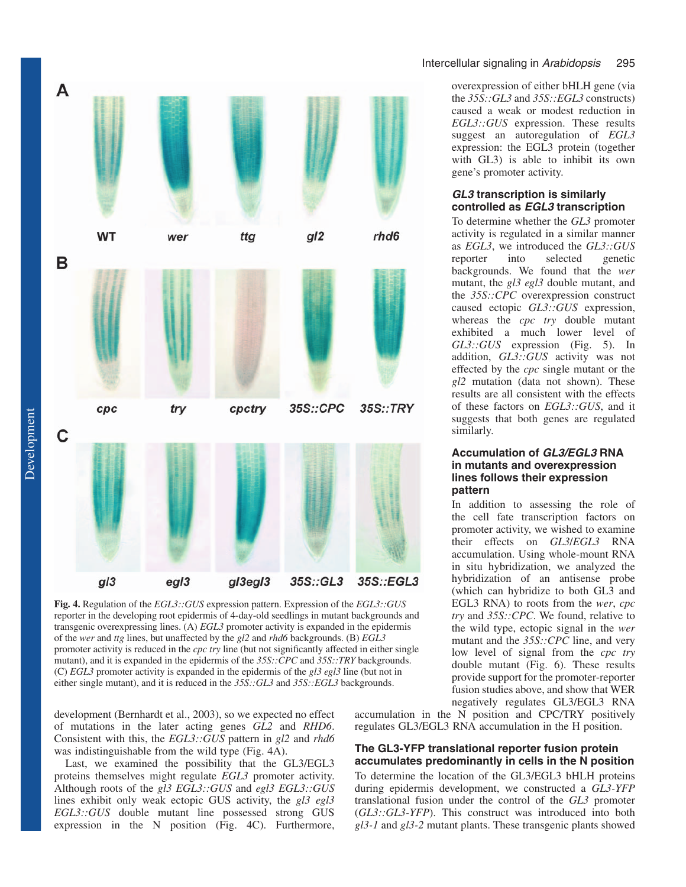

**Fig. 4.** Regulation of the *EGL3::GUS* expression pattern. Expression of the *EGL3::GUS* reporter in the developing root epidermis of 4-day-old seedlings in mutant backgrounds and transgenic overexpressing lines. (A) *EGL3* promoter activity is expanded in the epidermis of the *wer* and *ttg* lines, but unaffected by the *gl2* and *rhd6* backgrounds. (B) *EGL3* promoter activity is reduced in the *cpc try* line (but not significantly affected in either single mutant), and it is expanded in the epidermis of the *35S::CPC* and *35S::TRY* backgrounds. (C) *EGL3* promoter activity is expanded in the epidermis of the *gl3 egl3* line (but not in either single mutant), and it is reduced in the  $35S::GL3$  and  $35S::EGL3$  backgrounds.

development (Bernhardt et al., 2003), so we expected no effect of mutations in the later acting genes *GL2* and *RHD6*. Consistent with this, the *EGL3::GUS* pattern in *gl2* and *rhd6* was indistinguishable from the wild type (Fig. 4A).

Last, we examined the possibility that the GL3/EGL3 proteins themselves might regulate *EGL3* promoter activity. Although roots of the *gl3 EGL3::GUS* and *egl3 EGL3::GUS* lines exhibit only weak ectopic GUS activity, the *gl3 egl3 EGL3::GUS* double mutant line possessed strong GUS expression in the N position (Fig. 4C). Furthermore,

#### Intercellular signaling in Arabidopsis 295

overexpression of either bHLH gene (via the *35S::GL3* and *35S::EGL3* constructs) caused a weak or modest reduction in *EGL3::GUS* expression. These results suggest an autoregulation of *EGL3* expression: the EGL3 protein (together with GL3) is able to inhibit its own gene's promoter activity.

#### *GL3 transcription is similarly controlled as EGL3 transcription*

To determine whether the *GL3* promoter activity is regulated in a similar manner as *EGL3*, we introduced the *GL3::GUS* reporter into selected genetic backgrounds. We found that the *wer* mutant, the *gl3 egl3* double mutant, and the *35S::CPC* overexpression construct caused ectopic *GL3::GUS* expression, whereas the *cpc try* double mutant exhibited a much lower level of *GL3::GUS* expression (Fig. 5). In addition, *GL3::GUS* activity was not effected by the *cpc* single mutant or the *gl2* mutation (data not shown). These results are all consistent with the effects of these factors on *EGL3::GUS*, and it suggests that both genes are regulated similarly.

#### *Accumulation of GL3/EGL3 RNA in mutants and overexpression lines follows their expression pattern*

In addition to assessing the role of the cell fate transcription factors on promoter activity, we wished to examine their effects on *GL3*/*EGL3* RNA accumulation. Using whole-mount RNA in situ hybridization, we analyzed the hybridization of an antisense probe (which can hybridize to both GL3 and EGL3 RNA) to roots from the *wer*, *cpc try* and *35S::CPC*. We found, relative to the wild type, ectopic signal in the *wer* mutant and the *35S::CPC* line, and very low level of signal from the *cpc try* double mutant (Fig. 6). These results provide support for the promoter-reporter fusion studies above, and show that WER negatively regulates GL3/EGL3 RNA

accumulation in the N position and CPC/TRY positively regulates GL3/EGL3 RNA accumulation in the H position.

#### *The GL3-YFP translational reporter fusion protein accumulates predominantly in cells in the N position*

To determine the location of the GL3/EGL3 bHLH proteins during epidermis development, we constructed a *GL3-YFP* translational fusion under the control of the *GL3* promoter (*GL3::GL3-YFP*). This construct was introduced into both *gl3-1* and *gl3-2* mutant plants. These transgenic plants showed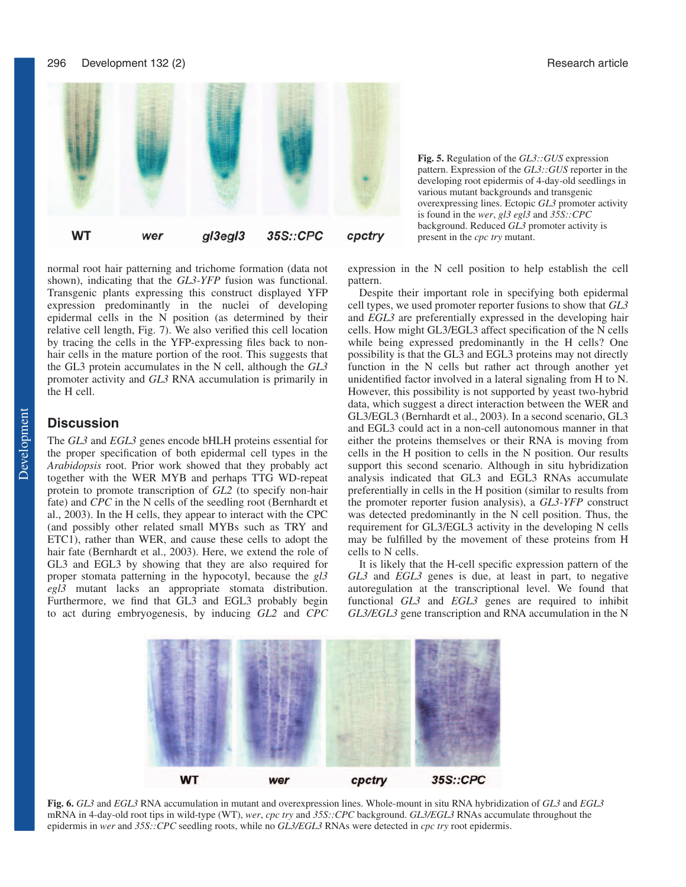296 Development 132 (2) **Research article** 32 (2)



normal root hair patterning and trichome formation (data not shown), indicating that the *GL3-YFP* fusion was functional. Transgenic plants expressing this construct displayed YFP expression predominantly in the nuclei of developing epidermal cells in the N position (as determined by their relative cell length, Fig. 7). We also verified this cell location by tracing the cells in the YFP-expressing files back to nonhair cells in the mature portion of the root. This suggests that the GL3 protein accumulates in the N cell, although the *GL3* promoter activity and *GL3* RNA accumulation is primarily in the H cell.

# **Discussion**

The *GL3* and *EGL3* genes encode bHLH proteins essential for the proper specification of both epidermal cell types in the *Arabidopsis* root. Prior work showed that they probably act together with the WER MYB and perhaps TTG WD-repeat protein to promote transcription of *GL2* (to specify non-hair fate) and *CPC* in the N cells of the seedling root (Bernhardt et al., 2003). In the H cells, they appear to interact with the CPC (and possibly other related small MYBs such as TRY and ETC1), rather than WER, and cause these cells to adopt the hair fate (Bernhardt et al., 2003). Here, we extend the role of GL3 and EGL3 by showing that they are also required for proper stomata patterning in the hypocotyl, because the *gl3 egl3* mutant lacks an appropriate stomata distribution. Furthermore, we find that GL3 and EGL3 probably begin to act during embryogenesis, by inducing *GL2* and *CPC*

**Fig. 5.** Regulation of the *GL3::GUS* expression pattern. Expression of the *GL3::GUS* reporter in the developing root epidermis of 4-day-old seedlings in various mutant backgrounds and transgenic overexpressing lines. Ectopic *GL3* promoter activity is found in the *wer*, *gl3 egl3* and *35S::CPC* background. Reduced *GL3* promoter activity is present in the *cpc try* mutant.

expression in the N cell position to help establish the cell pattern.

Despite their important role in specifying both epidermal cell types, we used promoter reporter fusions to show that *GL3* and *EGL3* are preferentially expressed in the developing hair cells. How might GL3/EGL3 affect specification of the N cells while being expressed predominantly in the H cells? One possibility is that the GL3 and EGL3 proteins may not directly function in the N cells but rather act through another yet unidentified factor involved in a lateral signaling from H to N. However, this possibility is not supported by yeast two-hybrid data, which suggest a direct interaction between the WER and GL3/EGL3 (Bernhardt et al., 2003). In a second scenario, GL3 and EGL3 could act in a non-cell autonomous manner in that either the proteins themselves or their RNA is moving from cells in the H position to cells in the N position. Our results support this second scenario. Although in situ hybridization analysis indicated that GL3 and EGL3 RNAs accumulate preferentially in cells in the H position (similar to results from the promoter reporter fusion analysis), a *GL3-YFP* construct was detected predominantly in the N cell position. Thus, the requirement for GL3/EGL3 activity in the developing N cells may be fulfilled by the movement of these proteins from H cells to N cells.

It is likely that the H-cell specific expression pattern of the *GL3* and *EGL3* genes is due, at least in part, to negative autoregulation at the transcriptional level. We found that functional *GL3* and *EGL3* genes are required to inhibit *GL3/EGL3* gene transcription and RNA accumulation in the N



**Fig. 6.** *GL3* and *EGL3* RNA accumulation in mutant and overexpression lines. Whole-mount in situ RNA hybridization of *GL3* and *EGL3* mRNA in 4-day-old root tips in wild-type (WT), *wer*, *cpc try* and *35S::CPC* background. *GL3/EGL3* RNAs accumulate throughout the epidermis in *wer* and *35S::CPC* seedling roots, while no *GL3/EGL3* RNAs were detected in *cpc try* root epidermis.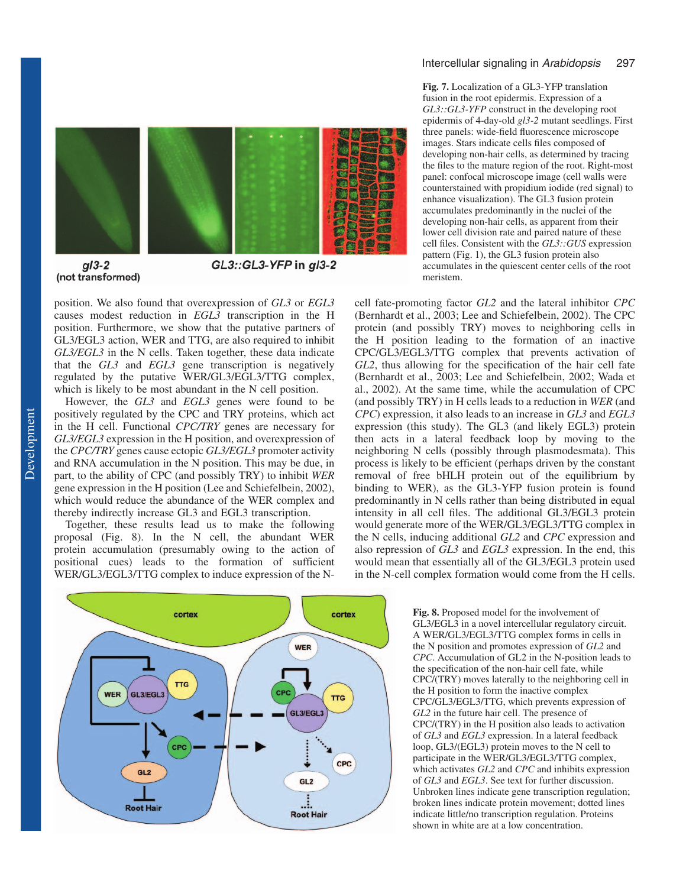

#### $g/3-2$ (not transformed)

GL3::GL3-YFP in gl3-2

position. We also found that overexpression of *GL3* or *EGL3* causes modest reduction in *EGL3* transcription in the H position. Furthermore, we show that the putative partners of GL3/EGL3 action, WER and TTG, are also required to inhibit *GL3/EGL3* in the N cells. Taken together, these data indicate that the *GL3* and *EGL3* gene transcription is negatively regulated by the putative WER/GL3/EGL3/TTG complex, which is likely to be most abundant in the N cell position.

However, the *GL3* and *EGL3* genes were found to be positively regulated by the CPC and TRY proteins, which act in the H cell. Functional *CPC/TRY* genes are necessary for *GL3/EGL3* expression in the H position, and overexpression of the *CPC/TRY* genes cause ectopic *GL3/EGL3* promoter activity and RNA accumulation in the N position. This may be due, in part, to the ability of CPC (and possibly TRY) to inhibit *WER* gene expression in the H position (Lee and Schiefelbein, 2002), which would reduce the abundance of the WER complex and thereby indirectly increase GL3 and EGL3 transcription.

Together, these results lead us to make the following proposal (Fig. 8). In the N cell, the abundant WER protein accumulation (presumably owing to the action of positional cues) leads to the formation of sufficient WER/GL3/EGL3/TTG complex to induce expression of the N-



#### Intercellular signaling in Arabidopsis 297

**Fig. 7.** Localization of a GL3-YFP translation fusion in the root epidermis. Expression of a *GL3::GL3-YFP* construct in the developing root epidermis of 4-day-old *gl3-2* mutant seedlings. First three panels: wide-field fluorescence microscope images. Stars indicate cells files composed of developing non-hair cells, as determined by tracing the files to the mature region of the root. Right-most panel: confocal microscope image (cell walls were counterstained with propidium iodide (red signal) to enhance visualization). The GL3 fusion protein accumulates predominantly in the nuclei of the developing non-hair cells, as apparent from their lower cell division rate and paired nature of these cell files. Consistent with the *GL3::GUS* expression pattern (Fig. 1), the GL3 fusion protein also accumulates in the quiescent center cells of the root meristem.

cell fate-promoting factor *GL2* and the lateral inhibitor *CPC* (Bernhardt et al., 2003; Lee and Schiefelbein, 2002). The CPC protein (and possibly TRY) moves to neighboring cells in the H position leading to the formation of an inactive CPC/GL3/EGL3/TTG complex that prevents activation of *GL2*, thus allowing for the specification of the hair cell fate (Bernhardt et al., 2003; Lee and Schiefelbein, 2002; Wada et al., 2002). At the same time, while the accumulation of CPC (and possibly TRY) in H cells leads to a reduction in *WER* (and *CPC*) expression, it also leads to an increase in *GL3* and *EGL3* expression (this study). The GL3 (and likely EGL3) protein then acts in a lateral feedback loop by moving to the neighboring N cells (possibly through plasmodesmata). This process is likely to be efficient (perhaps driven by the constant removal of free bHLH protein out of the equilibrium by binding to WER), as the GL3-YFP fusion protein is found predominantly in N cells rather than being distributed in equal intensity in all cell files. The additional GL3/EGL3 protein would generate more of the WER/GL3/EGL3/TTG complex in the N cells, inducing additional *GL2* and *CPC* expression and also repression of *GL3* and *EGL3* expression. In the end, this would mean that essentially all of the GL3/EGL3 protein used in the N-cell complex formation would come from the H cells.

> **Fig. 8.** Proposed model for the involvement of GL3/EGL3 in a novel intercellular regulatory circuit. A WER/GL3/EGL3/TTG complex forms in cells in the N position and promotes expression of *GL2* and *CPC*. Accumulation of GL2 in the N-position leads to the specification of the non-hair cell fate, while CPC/(TRY) moves laterally to the neighboring cell in the H position to form the inactive complex CPC/GL3/EGL3/TTG, which prevents expression of *GL2* in the future hair cell. The presence of CPC/(TRY) in the H position also leads to activation of *GL3* and *EGL3* expression. In a lateral feedback loop, GL3/(EGL3) protein moves to the N cell to participate in the WER/GL3/EGL3/TTG complex, which activates *GL2* and *CPC* and inhibits expression of *GL3* and *EGL3*. See text for further discussion. Unbroken lines indicate gene transcription regulation; broken lines indicate protein movement; dotted lines indicate little/no transcription regulation. Proteins shown in white are at a low concentration.